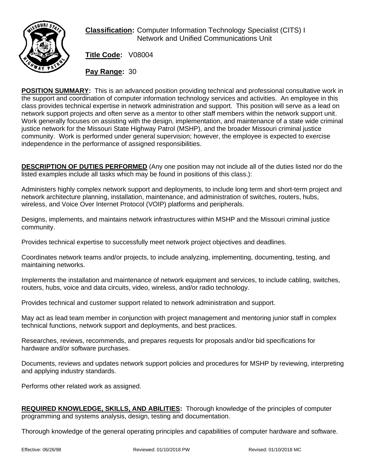

**Classification:** Computer Information Technology Specialist (CITS) I Network and Unified Communications Unit

**Title Code:** V08004

**Pay Range:** 30

**POSITION SUMMARY:** This is an advanced position providing technical and professional consultative work in the support and coordination of computer information technology services and activities. An employee in this class provides technical expertise in network administration and support. This position will serve as a lead on network support projects and often serve as a mentor to other staff members within the network support unit. Work generally focuses on assisting with the design, implementation, and maintenance of a state wide criminal justice network for the Missouri State Highway Patrol (MSHP), and the broader Missouri criminal justice community. Work is performed under general supervision; however, the employee is expected to exercise independence in the performance of assigned responsibilities.

**DESCRIPTION OF DUTIES PERFORMED** (Any one position may not include all of the duties listed nor do the listed examples include all tasks which may be found in positions of this class.):

Administers highly complex network support and deployments, to include long term and short-term project and network architecture planning, installation, maintenance, and administration of switches, routers, hubs, wireless, and Voice Over Internet Protocol (VOIP) platforms and peripherals.

Designs, implements, and maintains network infrastructures within MSHP and the Missouri criminal justice community.

Provides technical expertise to successfully meet network project objectives and deadlines.

Coordinates network teams and/or projects, to include analyzing, implementing, documenting, testing, and maintaining networks.

Implements the installation and maintenance of network equipment and services, to include cabling, switches, routers, hubs, voice and data circuits, video, wireless, and/or radio technology.

Provides technical and customer support related to network administration and support.

May act as lead team member in conjunction with project management and mentoring junior staff in complex technical functions, network support and deployments, and best practices.

Researches, reviews, recommends, and prepares requests for proposals and/or bid specifications for hardware and/or software purchases.

Documents, reviews and updates network support policies and procedures for MSHP by reviewing, interpreting and applying industry standards.

Performs other related work as assigned.

**REQUIRED KNOWLEDGE, SKILLS, AND ABILITIES:** Thorough knowledge of the principles of computer programming and systems analysis, design, testing and documentation.

Thorough knowledge of the general operating principles and capabilities of computer hardware and software.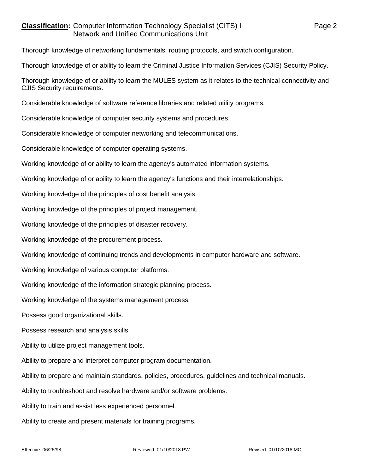## **Classification:** Computer Information Technology Specialist (CITS) I Page 2 Network and Unified Communications Unit

Thorough knowledge of networking fundamentals, routing protocols, and switch configuration.

Thorough knowledge of or ability to learn the Criminal Justice Information Services (CJIS) Security Policy.

Thorough knowledge of or ability to learn the MULES system as it relates to the technical connectivity and CJIS Security requirements.

Considerable knowledge of software reference libraries and related utility programs.

Considerable knowledge of computer security systems and procedures.

Considerable knowledge of computer networking and telecommunications.

Considerable knowledge of computer operating systems.

Working knowledge of or ability to learn the agency's automated information systems.

Working knowledge of or ability to learn the agency's functions and their interrelationships.

Working knowledge of the principles of cost benefit analysis.

Working knowledge of the principles of project management.

Working knowledge of the principles of disaster recovery.

Working knowledge of the procurement process.

Working knowledge of continuing trends and developments in computer hardware and software.

Working knowledge of various computer platforms.

Working knowledge of the information strategic planning process.

Working knowledge of the systems management process.

Possess good organizational skills.

Possess research and analysis skills.

Ability to utilize project management tools.

Ability to prepare and interpret computer program documentation.

Ability to prepare and maintain standards, policies, procedures, guidelines and technical manuals.

Ability to troubleshoot and resolve hardware and/or software problems.

Ability to train and assist less experienced personnel.

Ability to create and present materials for training programs.